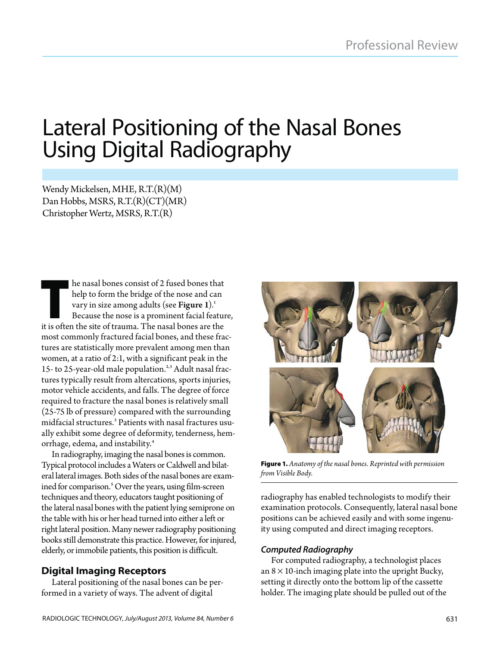# Lateral Positioning of the Nasal Bones Using Digital Radiography

Wendy Mickelsen, MHE, R.T.(R)(M) Dan Hobbs, MSRS, R.T.(R)(CT)(MR) Christopher Wertz, MSRS, R.T.(R)

help to form the bridge of the nose and can<br>help to form the bridge of the nose and can<br>vary in size among adults (see Figure 1).<sup>1</sup><br>Because the nose is a prominent facial feature<br>it is often the site of trauma. The nasal help to form the bridge of the nose and can vary in size among adults (see Figure 1).<sup>1</sup> Because the nose is a prominent facial feature, it is often the site of trauma. The nasal bones are the most commonly fractured facial bones, and these fractures are statistically more prevalent among men than women, at a ratio of 2:1, with a significant peak in the 15- to 25-year-old male population.<sup>2,3</sup> Adult nasal fractures typically result from altercations, sports injuries, motor vehicle accidents, and falls. The degree of force required to fracture the nasal bones is relatively small (25-75 lb of pressure) compared with the surrounding midfacial structures.3 Patients with nasal fractures usually exhibit some degree of deformity, tenderness, hemorrhage, edema, and instability.<sup>4</sup>

In radiography, imaging the nasal bones is common. Typical protocol includes a Waters or Caldwell and bilateral lateral images. Both sides of the nasal bones are examined for comparison.<sup>5</sup> Over the years, using film-screen techniques and theory, educators taught positioning of the lateral nasal bones with the patient lying semiprone on the table with his or her head turned into either a left or right lateral position. Many newer radiography positioning books still demonstrate this practice. However, for injured, elderly, or immobile patients, this position is difficult.

**Digital Imaging Receptors** Lateral positioning of the nasal bones can be performed in a variety of ways. The advent of digital



**Figure 1.** *Anatomy of the nasal bones. Reprinted with permission from Visible Body.*

radiography has enabled technologists to modify their examination protocols. Consequently, lateral nasal bone positions can be achieved easily and with some ingenuity using computed and direct imaging receptors.

### *Computed Radiography*

For computed radiography, a technologist places an  $8 \times 10$ -inch imaging plate into the upright Bucky, setting it directly onto the bottom lip of the cassette holder. The imaging plate should be pulled out of the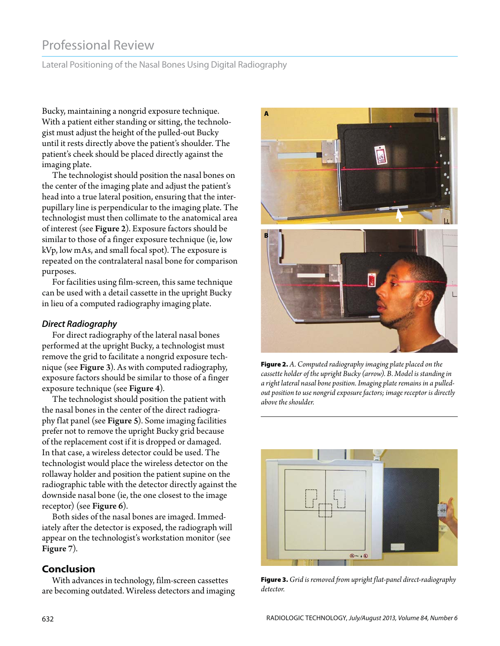# Professional Review

Lateral Positioning of the Nasal Bones Using Digital Radiography

Bucky, maintaining a nongrid exposure technique. With a patient either standing or sitting, the technologist must adjust the height of the pulled-out Bucky until it rests directly above the patient's shoulder. The patient's cheek should be placed directly against the imaging plate.

The technologist should position the nasal bones on the center of the imaging plate and adjust the patient's head into a true lateral position, ensuring that the interpupillary line is perpendicular to the imaging plate. The technologist must then collimate to the anatomical area of interest (see Figure 2). Exposure factors should be similar to those of a finger exposure technique (ie, low kVp, low mAs, and small focal spot). The exposure is repeated on the contralateral nasal bone for comparison purposes.

For facilities using film-screen, this same technique can be used with a detail cassette in the upright Bucky in lieu of a computed radiography imaging plate.

### *Direct Radiography*

For direct radiography of the lateral nasal bones performed at the upright Bucky, a technologist must remove the grid to facilitate a nongrid exposure technique (see Figure 3). As with computed radiography, exposure factors should be similar to those of a finger exposure technique (see Figure 4).

The technologist should position the patient with the nasal bones in the center of the direct radiography flat panel (see Figure 5). Some imaging facilities prefer not to remove the upright Bucky grid because of the replacement cost if it is dropped or damaged. In that case, a wireless detector could be used. The technologist would place the wireless detector on the rollaway holder and position the patient supine on the radiographic table with the detector directly against the downside nasal bone (ie, the one closest to the image receptor) (see Figure 6).

Both sides of the nasal bones are imaged. Immediately after the detector is exposed, the radiograph will appear on the technologist's workstation monitor (see Figure 7).

**Conclusion** With advances in technology, film-screen cassettes are becoming outdated. Wireless detectors and imaging



**Figure 2.** *A. Computed radiography imaging plate placed on the cassette holder of the upright Bucky (arrow). B. Model is standing in a right lateral nasal bone position. Imaging plate remains in a pulledout position to use nongrid exposure factors; image receptor is directly above the shoulder.*



**Figure 3.** *Grid is removed from upright flat-panel direct-radiography detector.*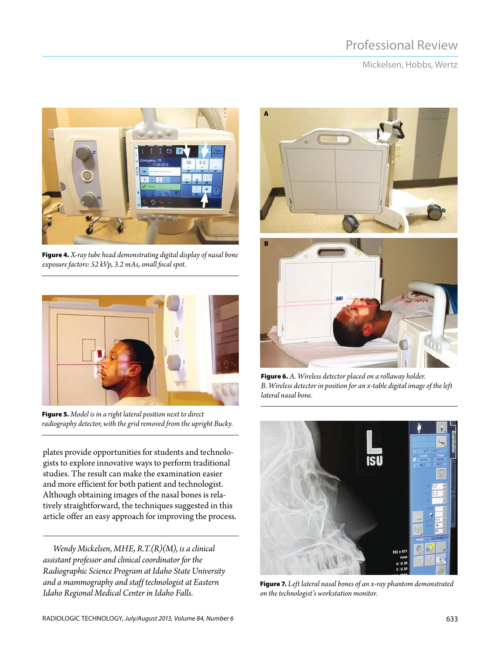# Professional Review

Mickelsen, Hobbs, Wertz



**Figure 4.** *X-ray tube head demonstrating digital display of nasal bone exposure factors: 52 kVp, 3.2 mAs, small focal spot.*



**Figure 5.** *Model is in a right lateral position next to direct radiography detector, with the grid removed from the upright Bucky.*

plates provide opportunities for students and technologists to explore innovative ways to perform traditional studies. The result can make the examination easier and more efficient for both patient and technologist. Although obtaining images of the nasal bones is relatively straightforward, the techniques suggested in this article offer an easy approach for improving the process.

*Wendy Mickelsen, MHE, R.T.(R)(M), is a clinical assistant professor and clinical coordinator for the Radiographic Science Program at Idaho State University and a mammography and staff technologist at Eastern Idaho Regional Medical Center in Idaho Falls.*



**Figure 6.** *A. Wireless detector placed on a rollaway holder. B. Wireless detector in position for an x-table digital image of the left lateral nasal bone.*



**Figure 7.** *Left lateral nasal bones of an x-ray phantom demonstrated on the technologist's workstation monitor.*